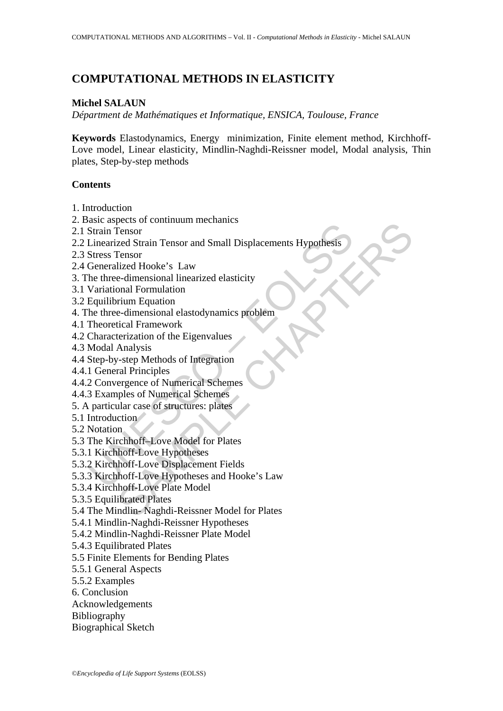# **COMPUTATIONAL METHODS IN ELASTICITY**

## **Michel SALAUN**

*Départment de Mathématiques et Informatique, ENSICA, Toulouse, France* 

**Keywords** Elastodynamics, Energy minimization, Finite element method, Kirchhoff-Love model, Linear elasticity, Mindlin-Naghdi-Reissner model, Modal analysis, Thin plates, Step-by-step methods

## **Contents**

- 1. Introduction
- 2. Basic aspects of continuum mechanics
- 2.1 Strain Tensor
- Extra precessor<br>
Strain Tensor<br>
Ennearized Strain Tensor<br>
Elinearized Strain Tensor<br>
Stress Tensor<br>
Generalized Hooke's Law<br>
Nariational Formulation<br>
Variational Formulation<br>
Variational Formulation<br>
Equilibrium Equation<br> please of communimentalistics<br>
Fensor<br>
Tensor<br>
Tensor<br>
Echara Hooke's Law<br>
Elect Hooke's Law<br>
e-dimensional linearized elasticity<br>
onal Formulation<br>
reium Equation<br>
edimensional elastodynamics problèm<br>
tical Framework<br>
ter 2.2 Linearized Strain Tensor and Small Displacements Hypothesis
- 2.3 Stress Tensor
- 2.4 Generalized Hooke's Law
- 3. The three-dimensional linearized elasticity
- 3.1 Variational Formulation
- 3.2 Equilibrium Equation
- 4. The three-dimensional elastodynamics problem
- 4.1 Theoretical Framework
- 4.2 Characterization of the Eigenvalues
- 4.3 Modal Analysis
- 4.4 Step-by-step Methods of Integration
- 4.4.1 General Principles
- 4.4.2 Convergence of Numerical Schemes
- 4.4.3 Examples of Numerical Schemes
- 5. A particular case of structures: plates
- 5.1 Introduction
- 5.2 Notation
- 5.3 The Kirchhoff–Love Model for Plates
- 5.3.1 Kirchhoff-Love Hypotheses
- 5.3.2 Kirchhoff-Love Displacement Fields
- 5.3.3 Kirchhoff-Love Hypotheses and Hooke's Law
- 5.3.4 Kirchhoff-Love Plate Model
- 5.3.5 Equilibrated Plates
- 5.4 The Mindlin- Naghdi-Reissner Model for Plates
- 5.4.1 Mindlin-Naghdi-Reissner Hypotheses
- 5.4.2 Mindlin-Naghdi-Reissner Plate Model
- 5.4.3 Equilibrated Plates
- 5.5 Finite Elements for Bending Plates
- 5.5.1 General Aspects
- 5.5.2 Examples
- 6. Conclusion
- Acknowledgements
- Bibliography
- Biographical Sketch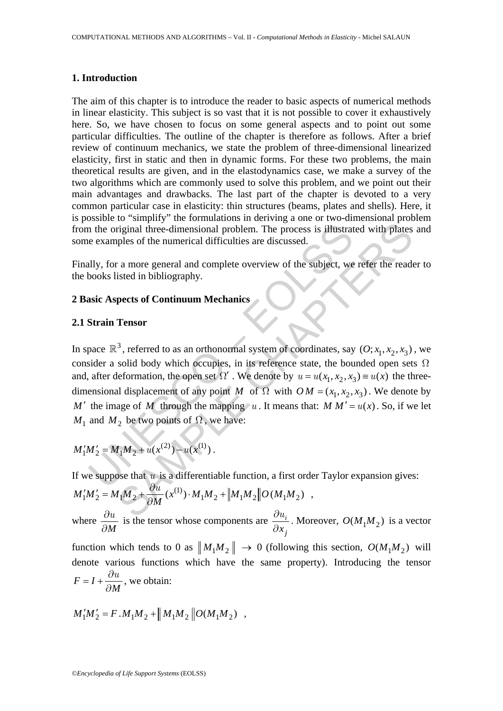### **1. Introduction**

The aim of this chapter is to introduce the reader to basic aspects of numerical methods in linear elasticity. This subject is so vast that it is not possible to cover it exhaustively here. So, we have chosen to focus on some general aspects and to point out some particular difficulties. The outline of the chapter is therefore as follows. After a brief review of continuum mechanics, we state the problem of three-dimensional linearized elasticity, first in static and then in dynamic forms. For these two problems, the main theoretical results are given, and in the elastodynamics case, we make a survey of the two algorithms which are commonly used to solve this problem, and we point out their main advantages and drawbacks. The last part of the chapter is devoted to a very common particular case in elasticity: thin structures (beams, plates and shells). Here, it is possible to "simplify" the formulations in deriving a one or two-dimensional problem from the original three-dimensional problem. The process is illustrated with plates and some examples of the numerical difficulties are discussed.

Finally, for a more general and complete overview of the subject, we refer the reader to the books listed in bibliography.

## **2 Basic Aspects of Continuum Mechanics**

## **2.1 Strain Tensor**

n the original three-dimensional problem. The process is illustrate examples of the numerical difficulties are discussed.<br>
ally, for a more general and complete overview of the subject, we<br>
books listed in bibliography.<br> Triginal three-dimensional problem. The process is illustrated with plates<br>riginal three-dimensional problem. The process is illustrated with plates<br>ples of the numerical difficulties are discussed.<br>
a more general and co In space  $\mathbb{R}^3$ , referred to as an orthonormal system of coordinates, say  $(0; x_1, x_2, x_3)$ , we consider a solid body which occupies, in its reference state, the bounded open sets  $\Omega$ and, after deformation, the open set  $\Omega'$ . We denote by  $u = u(x_1, x_2, x_3) \equiv u(x)$  the threedimensional displacement of any point *M* of  $\Omega$  with  $OM = (x_1, x_2, x_3)$ . We denote by *M* ' the image of *M* through the mapping *u*. It means that: *M M'* =  $u(x)$ . So, if we let *M*<sub>1</sub> and *M*<sub>2</sub> be two points of  $\Omega$ , we have:

$$
M'_1M'_2 = M_1M_2 + u(x^{(2)}) - u(x^{(1)}) .
$$

If we suppose that  $u$  is a differentiable function, a first order Taylor expansion gives:

$$
M'_1M'_2 = M_1M_2 + \frac{\partial u}{\partial M}(x^{(1)}) \cdot M_1M_2 + ||M_1M_2||O(M_1M_2) ,
$$
  
where  $\frac{\partial u}{\partial M}$  is the tensor whose components are  $\frac{\partial u_i}{\partial x_j}$ . Moreover,  $O(M_1M_2)$  is a vector  
function which tends to 0 as  $||M_1M_2|| \rightarrow 0$  (following this section,  $O(M_1M_2)$  will  
denote various functions which have the same property). Introducing the tensor  
 $F = I + \frac{\partial u}{\partial M}$ , we obtain:

$$
M_1'M_2'=F\,.\,M_1M_2+\parallel M_1M_2\parallel O(M_1M_2)\ ,
$$

*M ∂*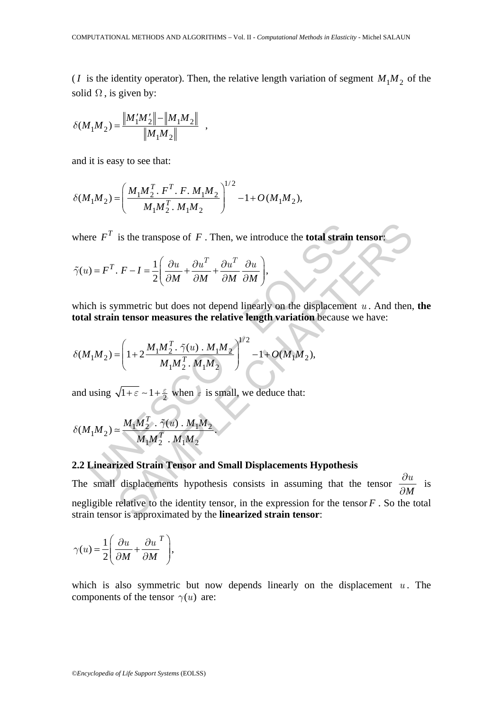(*I* is the identity operator). Then, the relative length variation of segment  $M_1 M_2$  of the solid  $\Omega$ , is given by:

$$
\delta(M_1M_2) = \frac{\left\|M_1'M_2'\right\| - \left\|M_1M_2\right\|}{\left\|M_1M_2\right\|} ,
$$

and it is easy to see that:

$$
\delta(M_1M_2) = \left(\frac{M_1M_2^T \cdot F^T \cdot F \cdot M_1M_2}{M_1M_2^T \cdot M_1M_2}\right)^{1/2} - 1 + O(M_1M_2),
$$

where  $F^T$  is the transpose of  $F$ . Then, we introduce the **total strain tensor**:

$$
\tilde{\gamma}(u) = F^T. \ F - I = \frac{1}{2} \left( \frac{\partial u}{\partial M} + \frac{\partial u^T}{\partial M} + \frac{\partial u^T}{\partial M} \frac{\partial u}{\partial M} \right),
$$

which is symmetric but does not depend linearly on the displacement  $u$ . And then, the **total strain tensor measures the relative length variation** because we have:

where 
$$
F^T
$$
 is the transpose of  $F$ . Then, we introduce the **total strain**  
\n
$$
\tilde{\gamma}(u) = F^T \cdot F - I = \frac{1}{2} \left( \frac{\partial u}{\partial M} + \frac{\partial u^T}{\partial M} + \frac{\partial u^T}{\partial M} \frac{\partial u}{\partial M} \right),
$$
\nwhich is symmetric but does not depend linearly on the displacement  
\n**total strain tensor measures the relative length variation** because  $\gamma$   
\n
$$
\delta(M_1M_2) = \left( 1 + 2 \frac{M_1M_2^T \cdot \tilde{\gamma}(u) \cdot M_1M_2}{M_1M_2^T \cdot M_1M_2} \right)^{1/2} - 1 + O(M_1M_2),
$$
\nand using  $\sqrt{1 + \epsilon} \sim 1 + \frac{\epsilon}{2}$  when  $\epsilon$  is small, we deduce that:  
\n
$$
\delta(M_1M_2) \approx \frac{M_1M_2^T \cdot \tilde{\gamma}(u) \cdot M_1M_2}{M_1M_2^T \cdot M_1M_2}.
$$
\n2.2 Linearized Strain Tensor and Small Displacements Hypothesis  
\nThe small displacements hypothesis consists in assuming that the

and using  $\sqrt{1+\epsilon} \sim 1 + \frac{\epsilon}{2}$  when  $\epsilon$  is small, we deduce that:

$$
\delta(M_1M_2) \simeq \frac{M_1M_2^T \cdot \tilde{\gamma}(u) \cdot M_1M_2}{M_1M_2^T \cdot M_1M_2}.
$$

## **2.2 Linearized Strain Tensor and Small Displacements Hypothesis**

is the transpose of F. Then, we introduce the **total strain tensor**<br>  $F - I = \frac{1}{2} \left( \frac{\partial u}{\partial M} + \frac{\partial u^T}{\partial M} + \frac{\partial u^T}{\partial M} \frac{\partial u}{\partial M} \right)$ <br>
streament that the summer that the strength variation because we have:<br>  $= \left( 1 + 2 \frac{$ The small displacements hypothesis consists in assuming that the tensor  $\frac{\partial u}{\partial M}$ *∂*  $\frac{du}{dt}$  is negligible relative to the identity tensor, in the expression for the tensor *F* . So the total strain tensor is approximated by the **linearized strain tensor**:

$$
\gamma(u) = \frac{1}{2} \left( \frac{\partial u}{\partial M} + \frac{\partial u}{\partial M}^T \right),\,
$$

which is also symmetric but now depends linearly on the displacement  $u$ . The components of the tensor  $\gamma$  *(u)* are: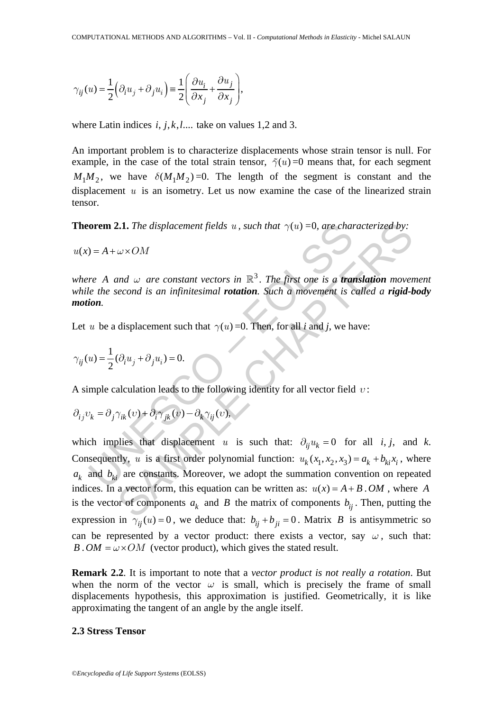$$
\gamma_{ij}(u) = \frac{1}{2} \left( \partial_i u_j + \partial_j u_i \right) = \frac{1}{2} \left( \frac{\partial u_i}{\partial x_j} + \frac{\partial u_j}{\partial x_j} \right),\,
$$

where Latin indices  $i, j, k, l, \ldots$  take on values 1,2 and 3.

An important problem is to characterize displacements whose strain tensor is null. For example, in the case of the total strain tensor,  $\tilde{\gamma}(u) = 0$  means that, for each segment  $M_1 M_2$ , we have  $\delta(M_1 M_2) = 0$ . The length of the segment is constant and the displacement *u* is an isometry. Let us now examine the case of the linearized strain tensor.

**Theorem 2.1.** *The displacement fields*  $u$ , *such that*  $\gamma(u) = 0$ , *are characterized by:* 

 $u(x) = A + \omega \times OM$ 

*where A and*  $\omega$  *are constant vectors in*  $\mathbb{R}^3$ . The first one is a *translation* movement *while the second is an infinitesimal rotation. Such a movement is called a rigid-body motion.* 

Let *u* be a displacement such that  $\gamma(u) = 0$ . Then, for all *i* and *j*, we have:

$$
\gamma_{ij}(u)=\frac{1}{2}(\partial_i u_j+\partial_j u_i)=0.
$$

A simple calculation leads to the following identity for all vector field *υ* :

$$
\partial_{ij}v_k=\partial_j\gamma_{ik}(v)+\partial_i\gamma_{jk}(v)-\partial_k\gamma_{ij}(v),
$$

orem 2.1. The displacement fields u, such that  $\gamma(u) = 0$ , are channot  $u = A + \omega \times OM$ <br>  $\alpha e^2 + \alpha^2 \times OM$ <br>  $\alpha e^2 + \alpha^2 \times OM$ <br>  $\alpha e^2 + \alpha^2 \times OM$ <br>  $\alpha e^2 + \alpha^2 \times OM$ <br>  $\alpha e^2 + \alpha^2 \times OM$ <br>  $\alpha e^2 + \alpha^2 \times OM$ <br>  $\alpha e^2 + \alpha^2 \times OM$ <br>  $\alpha e^2 + \alpha^2$ 2.1. The displacement fields u, such that  $\gamma(u) = 0$ , are characterized by:<br>  $\omega \times OM$ <br>
and  $\omega$  are constant vectors in  $\mathbb{R}^3$ . The first one is a **translation** move-<br>
recond is an infinitesimal **rotation**. Such a movem which implies that displacement *u* is such that:  $\partial_{ij} u_k = 0$  for all *i*, *j*, and *k*. Consequently, *u* is a first order polynomial function:  $u_k(x_1, x_2, x_3) = a_k + b_{ki}x_i$ , where  $a_k$  and  $b_k$  are constants. Moreover, we adopt the summation convention on repeated indices. In a vector form, this equation can be written as:  $u(x) = A + B \cdot OM$ , where *A* is the vector of components  $a_k$  and *B* the matrix of components  $b_{ij}$ . Then, putting the expression in  $\gamma_{ii}(u) = 0$ , we deduce that:  $b_{ii} + b_{ii} = 0$ . Matrix *B* is antisymmetric so can be represented by a vector product: there exists a vector, say  $\omega$ , such that: *B . OM* =  $\omega \times OM$  (vector product), which gives the stated result.

**Remark 2.2**. It is important to note that a *vector product is not really a rotation*. But when the norm of the vector  $\omega$  is small, which is precisely the frame of small displacements hypothesis, this approximation is justified. Geometrically, it is like approximating the tangent of an angle by the angle itself.

#### **2.3 Stress Tensor**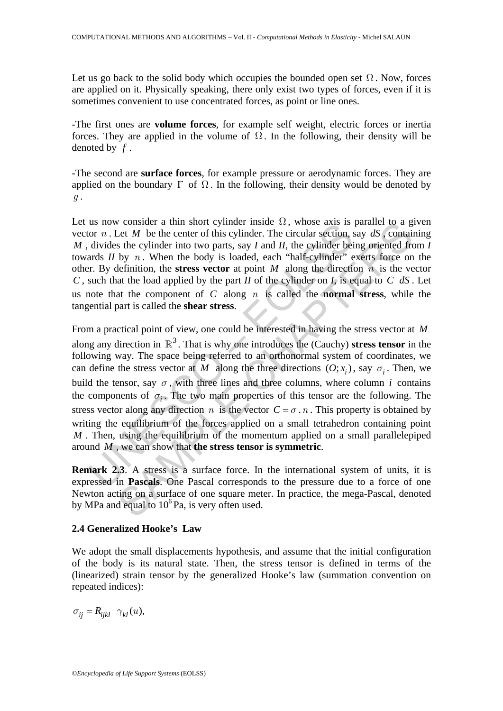Let us go back to the solid body which occupies the bounded open set  $\Omega$ . Now, forces are applied on it. Physically speaking, there only exist two types of forces, even if it is sometimes convenient to use concentrated forces, as point or line ones.

-The first ones are **volume forces**, for example self weight, electric forces or inertia forces. They are applied in the volume of  $\Omega$ . In the following, their density will be denoted by *f* .

-The second are **surface forces**, for example pressure or aerodynamic forces. They are applied on the boundary  $\Gamma$  of  $\Omega$ . In the following, their density would be denoted by *g* .

Let us now consider a thin short cylinder inside  $\Omega$ , whose axis is parallel to a given vector *n* . Let *M* be the center of this cylinder. The circular section, say *dS* , containing *M* , divides the cylinder into two parts, say *I* and *II*, the cylinder being oriented from *I* towards *II* by *n*. When the body is loaded, each "half-cylinder" exerts force on the other. By definition, the **stress vector** at point *M* along the direction *n* is the vector *C* , such that the load applied by the part *II* of the cylinder on *I*, is equal to *C dS* . Let us note that the component of *C* along *n* is called the **normal stress**, while the tangential part is called the **shear stress**.

us now consider a unit stort cylimier linsies  $\overline{x}_i$ , whose axis is<br>not  $n$ . Let  $M$  be the center of this cylimer. The circular section,<br>divides the cylinder into two parts, say  $I$  and  $II$ , the cylinder bei<br>ards  $II$  b v consacre a tim short cylimate size, whose axis is parallel to a g<br>Let M be the center of this cylinder. The circular section, say  $dS$ , contain<br>s the cylinder into two parts, say I and II, the cylinder being oriented fr From a practical point of view, one could be interested in having the stress vector at *M* along any direction in  $\mathbb{R}^3$ . That is why one introduces the (Cauchy) **stress tensor** in the following way. The space being referred to an orthonormal system of coordinates, we can define the stress vector at *M* along the three directions  $(0; x_i)$ , say  $\sigma_i$ . Then, we build the tensor, say  $\sigma$ , with three lines and three columns, where column *i* contains the components of  $\sigma_i$ . The two main properties of this tensor are the following. The stress vector along any direction *n* is the vector  $C = \sigma \cdot n$ . This property is obtained by writing the equilibrium of the forces applied on a small tetrahedron containing point *M* . Then, using the equilibrium of the momentum applied on a small parallelepiped around *M* , we can show that **the stress tensor is symmetric**.

**Remark 2.3**. A stress is a surface force. In the international system of units, it is expressed in **Pascals**. One Pascal corresponds to the pressure due to a force of one Newton acting on a surface of one square meter. In practice, the mega-Pascal, denoted by MPa and equal to  $10^6$  Pa, is very often used.

## **2.4 Generalized Hooke's Law**

We adopt the small displacements hypothesis, and assume that the initial configuration of the body is its natural state. Then, the stress tensor is defined in terms of the (linearized) strain tensor by the generalized Hooke's law (summation convention on repeated indices):

 $\sigma_{ii} = R_{iikl} \gamma_{kl} (u),$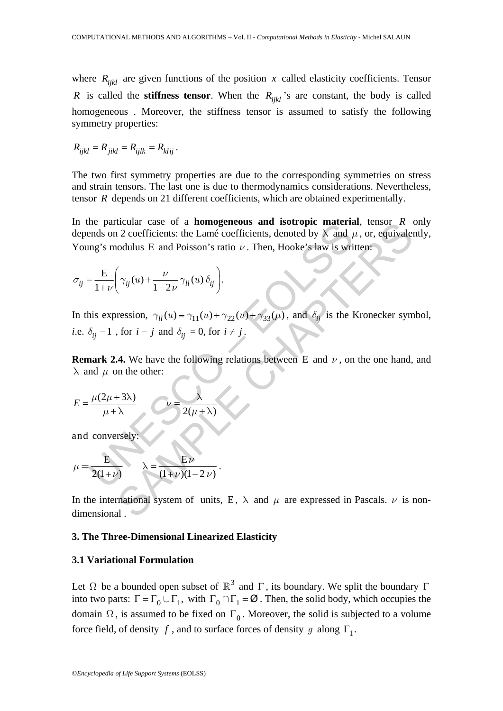where  $R_{ijkl}$  are given functions of the position *x* called elasticity coefficients. Tensor *R* is called the **stiffness tensor**. When the  $R_{ijkl}$  is are constant, the body is called homogeneous . Moreover, the stiffness tensor is assumed to satisfy the following symmetry properties:

$$
R_{ijkl} = R_{jikl} = R_{ijlk} = R_{klij}.
$$

The two first symmetry properties are due to the corresponding symmetries on stress and strain tensors. The last one is due to thermodynamics considerations. Nevertheless, tensor *R* depends on 21 different coefficients, which are obtained experimentally.

The particular case of a **homogeneous and sorropre materia**<br>
ends on 2 coefficients: the Lamé coefficients, denoted by  $\lambda$  and  $\mu$ <br>
mg's modulus E and Poisson's ratio  $\nu$ . Then, Hooke's law is writed<br>  $= \frac{E}{1+\nu} \left( \gamma_{$ The sum case of a **nonogeneous and isotropic material**, tensor *K*<br>
12 coefficients: the Lamé coefficients, denoted by  $\lambda$  and  $\mu$ , or, equivalent<br>
colulus E and Poisson's ratio *v*. Then, Hooke's law is written:<br>  $\gamma_{ij$ In the particular case of a **homogeneous and isotropic material**, tensor *R* only depends on 2 coefficients: the Lamé coefficients, denoted by  $\lambda$  and  $\mu$ , or, equivalently, Young's modulus E and Poisson's ratio *ν* . Then, Hooke's law is written:

$$
\sigma_{ij} = \frac{E}{1+\nu} \left( \gamma_{ij}(u) + \frac{\nu}{1-2\nu} \gamma_{ll}(u) \, \delta_{ij} \right).
$$

In this expression,  $\gamma_{ll}(u) = \gamma_{11}(u) + \gamma_{22}(u) + \gamma_{33}(\mu)$ , and  $\delta_{ij}$  is the Kronecker symbol, *i.e.*  $\delta_{ij} = 1$ , for  $i = j$  and  $\delta_{ij} = 0$ , for  $i \neq j$ .

**Remark 2.4.** We have the following relations between E and  $\nu$ , on the one hand, and  $\lambda$  and  $\mu$  on the other:

$$
E = \frac{\mu(2\mu + 3\lambda)}{\mu + \lambda} \qquad \qquad \mathcal{L} = \frac{\lambda}{2(\mu + \lambda)}
$$

and conversel

$$
\mu = \frac{E}{2(1+\nu)} \qquad \lambda = \frac{E\nu}{(1+\nu)(1-2\nu)}.
$$

In the international system of units, E,  $\lambda$  and  $\mu$  are expressed in Pascals.  $\nu$  is nondimensional .

### **3. The Three-Dimensional Linearized Elasticity**

## **3.1 Variational Formulation**

Let  $\Omega$  be a bounded open subset of  $\mathbb{R}^3$  and  $\Gamma$ , its boundary. We split the boundary Γ into two parts:  $\Gamma = \Gamma_0 \cup \Gamma_1$ , with  $\Gamma_0 \cap \Gamma_1 = \emptyset$ . Then, the solid body, which occupies the domain  $\Omega$ , is assumed to be fixed on  $\Gamma_0$ . Moreover, the solid is subjected to a volume force field, of density *f*, and to surface forces of density *g* along  $\Gamma_1$ .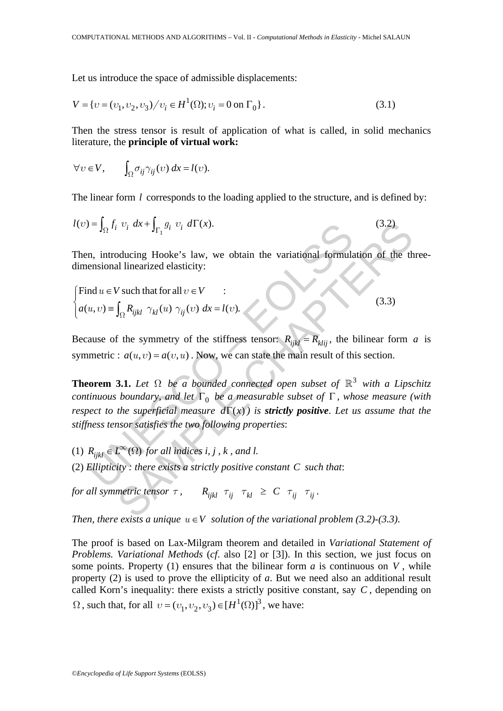Let us introduce the space of admissible displacements:

$$
V = \{v = (v_1, v_2, v_3) / v_i \in H^1(\Omega); v_i = 0 \text{ on } \Gamma_0\}.
$$
\n(3.1)

Then the stress tensor is result of application of what is called, in solid mechanics literature, the **principle of virtual work:**

$$
\forall v \in V, \qquad \int_{\Omega} \sigma_{ij} \gamma_{ij}(v) \, dx = l(v).
$$

The linear form *l* corresponds to the loading applied to the structure, and is defined by:

$$
l(v) = \int_{\Omega} f_i \ v_i \ dx + \int_{\Gamma_1} g_i \ v_i \ d\Gamma(x). \tag{3.2}
$$

Then, introducing Hooke's law, we obtain the variational formulation of the threedimensional linearized elasticity:

$$
\begin{cases}\n\text{Find } u \in V \text{ such that for all } v \in V \\
a(u, v) \equiv \int_{\Omega} R_{ijkl} \gamma_{kl}(u) \gamma_{ij}(v) dx = l(v).\n\end{cases}
$$
\n(3.3)

Because of the symmetry of the stiffness tensor:  $R_{ijkl} = R_{klij}$ , the bilinear form *a* is symmetric :  $a(u, v) = a(v, u)$ . Now, we can state the main result of this section.

 $U = J_{\Omega} f_i v_i dx + J_{\Gamma_1} g_i v_i d\Gamma(x)$ .<br>
In, introducing Hooke's law, we obtain the variational formula<br>
ensional linearized elasticity:<br>
Ind  $u \in V$  such that for all  $v \in V$ <br>  $u, v) = \int_{\Omega} R_{ijkl} \gamma_{kl}(u) \gamma_{ij}(v) dx = l(v)$ .<br>
ause of the sy  $\langle v_i \, dx + \int_{\Gamma_1} g_i \, v_i \, d\Gamma(x) \rangle$ <br>
3.2)<br>
oducing Hooke's law, we obtain the variational formulation of the the<br>
ll linearized elasticity:<br>  $\int_{\Omega} R_{ijkl} \, \gamma_{kl}(u) \, \gamma_{ij}(v) \, dx = l(v)$ .<br>
(3.3)<br>
(3.3)<br>
(4.0) =  $a(v, u)$ . Now, we can **Theorem 3.1.** *Let*  $\Omega$  *be a bounded connected open subset of*  $\mathbb{R}^3$  *with a Lipschitz continuous boundary, and let*  $\Gamma_0$  *be a measurable subset of*  $\Gamma$ *, whose measure (with respect to the superficial measure*  $d\Gamma(x)$  *is strictly positive. Let us assume that the stiffness tensor satisfies the two following properties*:

- (1)  $R_{ijkl} \in L^{\infty}(\Omega)$  *for all indices i, j, k, and l.*
- (2) *Ellipticity : there exists a strictly positive constant C such that*:

*for all symmetric tensor*  $\tau$ ,  $R_{ijkl} \tau_{ij} \tau_{kl} \geq C \tau_{ij} \tau_{ij}$ .

*Then, there exists a unique*  $u \in V$  *solution of the variational problem (3.2)-(3.3).* 

The proof is based on Lax-Milgram theorem and detailed in *Variational Statement of Problems. Variational Methods* (*cf*. also [2] or [3]). In this section, we just focus on some points. Property (1) ensures that the bilinear form *a* is continuous on *V* , while property (2) is used to prove the ellipticity of *a*. But we need also an additional result called Korn's inequality: there exists a strictly positive constant, say *C* , depending on  $\Omega$ , such that, for all  $v = (v_1, v_2, v_3) \in [H^1(\Omega)]^3$ , we have: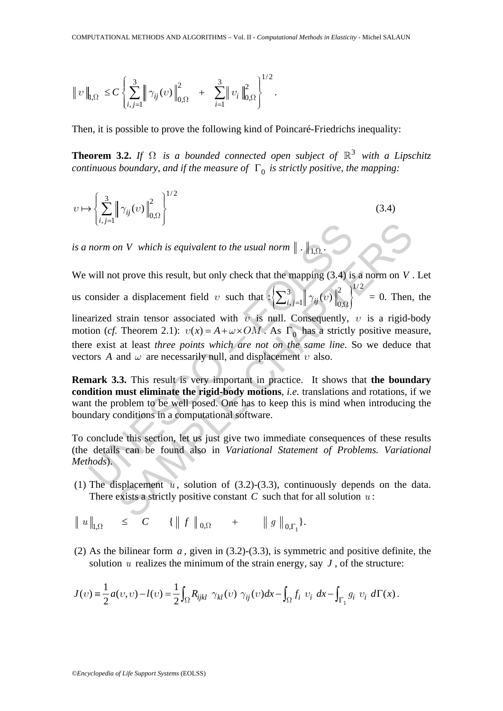$$
\|v\|_{l,\Omega} \, \leq C \left\{ \sum_{i,j=1}^3 \left\| \gamma_{ij}(v) \right\|_{0,\Omega}^2 \, + \, \sum_{i=1}^3 \left\| v_i \right\|_{0,\Omega}^2 \right\}^{1/2}.
$$

Then, it is possible to prove the following kind of Poincaré-Friedrichs inequality:

**Theorem 3.2.** *If*  $\Omega$  *is a bounded connected open subject of*  $\mathbb{R}^3$  *with a Lipschitz continuous boundary, and if the measure of*  $\Gamma_0$  *is strictly positive, the mapping:* 

$$
\upsilon \mapsto \left\{ \sum_{i,j=1}^{3} \left\| \gamma_{ij}(\upsilon) \right\|_{0,\Omega}^{2} \right\}^{1/2} \tag{3.4}
$$

*is a norm on V which is equivalent to the usual norm*  $\|\cdot\|_{1,\Omega}$ .

norm on *V* which is equivalent to the usual norm  $\|\cdot\|_{1,\Omega}$ .<br>
will not prove this result, but only check that the mapping (3.4) is a norm on *V*.<br>
consider a displacement field v such that  $\{\sum_{i,j=1}^3 \|\cdot\|_{0,2i}\}^{1/2}$ We will not prove this result, but only check that the mapping (3.4) is a norm on *V* . Let us consider a displacement field *v* such that  $\left\{\sum_{i,j=1}^{5} \middle\} \gamma_{ij}(v) \middle\|_{0}^{5} \right\}$  $\sum_{i,j=1}^{3} \left\| \gamma_{ij}(v) \right\|_{0,\Omega}^{2} \bigg\}^{1/2} = 0$ . Then, the linearized strain tensor associated with *υ* is null. Consequently, *υ* is a rigid-body motion (*cf.* Theorem 2.1):  $v(x) = A + \omega \times OM$ . As  $\Gamma_0$  has a strictly positive measure, there exist at least *three points which are not on the same line*. So we deduce that

vectors *A* and *ω* are necessarily null, and displacement *υ* also. **Remark 3.3.** This result is very important in practice. It shows that **the boundary condition must eliminate the rigid-body motions**, *i.e.* translations and rotations, if we want the problem to be well posed. One has to keep this is mind when introducing the

boundary conditions in a computational software. To conclude this section, let us just give two immediate consequences of these results

(the details can be found also in *Variational Statement of Problems. Variational Methods*).

(1) The displacement  $u$ , solution of  $(3.2)-(3.3)$ , continuously depends on the data. There exists a strictly positive constant *C* such that for all solution *u* :

$$
\| u \|_{\mathsf{I},\Omega} \leq C \quad \{ \| f \|_{0,\Omega} + \| g \|_{0,\Gamma_1} \}.
$$

(2) As the bilinear form  $a$ , given in  $(3.2)-(3.3)$ , is symmetric and positive definite, the solution  $u$  realizes the minimum of the strain energy, say  $J$ , of the structure:

$$
J(v) = \frac{1}{2} a(v, v) - l(v) = \frac{1}{2} \int_{\Omega} R_{ijkl} \gamma_{kl}(v) \gamma_{ij}(v) dx - \int_{\Omega} f_i v_i dx - \int_{\Gamma_1} g_i v_i d\Gamma(x).
$$